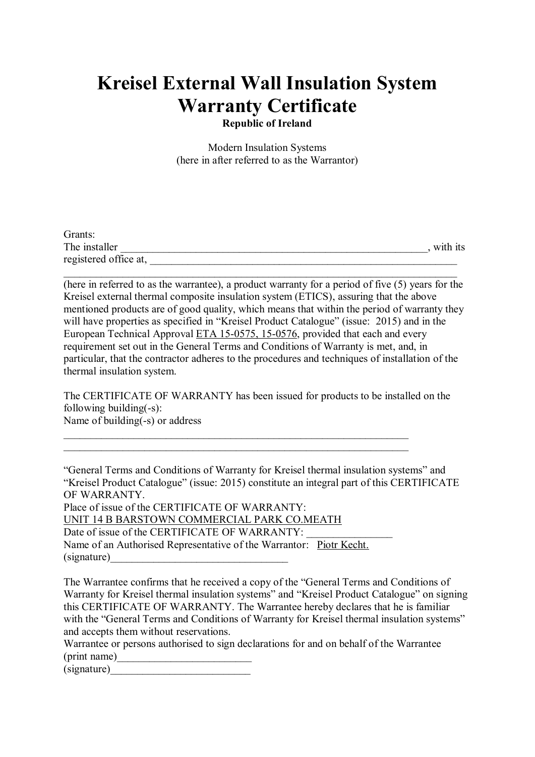# **Kreisel External Wall Insulation System Warranty Certificate**

**Republic of Ireland**

Modern Insulation Systems (here in after referred to as the Warrantor)

| Grants:               |          |
|-----------------------|----------|
| The installer         | with its |
| registered office at, |          |

 $\_$  , and the set of the set of the set of the set of the set of the set of the set of the set of the set of the set of the set of the set of the set of the set of the set of the set of the set of the set of the set of th

(here in referred to as the warrantee), a product warranty for a period of five (5) years for the Kreisel external thermal composite insulation system (ETICS), assuring that the above mentioned products are of good quality, which means that within the period of warranty they will have properties as specified in "Kreisel Product Catalogue" (issue: 2015) and in the European Technical Approval ETA 15-0575, 15-0576, provided that each and every requirement set out in the General Terms and Conditions of Warranty is met, and, in particular, that the contractor adheres to the procedures and techniques of installation of the thermal insulation system.

The CERTIFICATE OF WARRANTY has been issued for products to be installed on the following building(-s): Name of building(-s) or address

"General Terms and Conditions of Warranty for Kreisel thermal insulation systems" and "Kreisel Product Catalogue" (issue: 2015) constitute an integral part of this CERTIFICATE OF WARRANTY. Place of issue of the CERTIFICATE OF WARRANTY: UNIT 14 B BARSTOWN COMMERCIAL PARK CO.MEATH Date of issue of the CERTIFICATE OF WARRANTY: Name of an Authorised Representative of the Warrantor: Piotr Kecht.  $(s$ ignature $)$ 

The Warrantee confirms that he received a copy of the "General Terms and Conditions of Warranty for Kreisel thermal insulation systems" and "Kreisel Product Catalogue" on signing this CERTIFICATE OF WARRANTY. The Warrantee hereby declares that he is familiar with the "General Terms and Conditions of Warranty for Kreisel thermal insulation systems" and accepts them without reservations.

Warrantee or persons authorised to sign declarations for and on behalf of the Warrantee (print name)

(signature)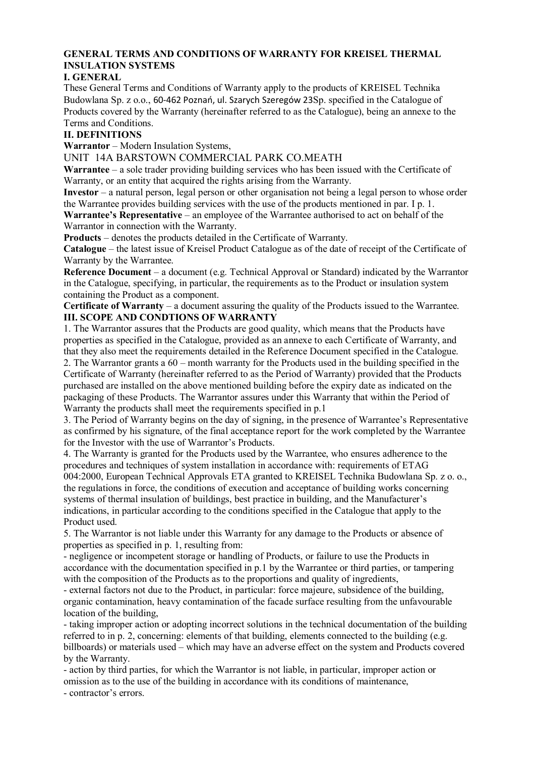# **GENERAL TERMS AND CONDITIONS OF WARRANTY FOR KREISEL THERMAL INSULATION SYSTEMS**

## **I. GENERAL**

These General Terms and Conditions of Warranty apply to the products of KREISEL Technika Budowlana Sp. z o.o., 60-462 Poznań, ul. Szarych Szeregów 23Sp. specified in the Catalogue of Products covered by the Warranty (hereinafter referred to as the Catalogue), being an annexe to the Terms and Conditions.

## **II. DEFINITIONS**

**Warrantor** – Modern Insulation Systems,

UNIT 14A BARSTOWN COMMERCIAL PARK CO.MEATH

**Warrantee** – a sole trader providing building services who has been issued with the Certificate of Warranty, or an entity that acquired the rights arising from the Warranty.

**Investor** – a natural person, legal person or other organisation not being a legal person to whose order the Warrantee provides building services with the use of the products mentioned in par. I p. 1.

**Warrantee's Representative** – an employee of the Warrantee authorised to act on behalf of the Warrantor in connection with the Warranty.

**Products** – denotes the products detailed in the Certificate of Warranty.

**Catalogue** – the latest issue of Kreisel Product Catalogue as of the date of receipt of the Certificate of Warranty by the Warrantee.

**Reference Document** – a document (e.g. Technical Approval or Standard) indicated by the Warrantor in the Catalogue, specifying, in particular, the requirements as to the Product or insulation system containing the Product as a component.

**Certificate of Warranty** – a document assuring the quality of the Products issued to the Warrantee. **III. SCOPE AND CONDTIONS OF WARRANTY**

1. The Warrantor assures that the Products are good quality, which means that the Products have properties as specified in the Catalogue, provided as an annexe to each Certificate of Warranty, and that they also meet the requirements detailed in the Reference Document specified in the Catalogue. 2. The Warrantor grants a 60 – month warranty for the Products used in the building specified in the Certificate of Warranty (hereinafter referred to as the Period of Warranty) provided that the Products purchased are installed on the above mentioned building before the expiry date as indicated on the packaging of these Products. The Warrantor assures under this Warranty that within the Period of Warranty the products shall meet the requirements specified in p.1

3. The Period of Warranty begins on the day of signing, in the presence of Warrantee's Representative as confirmed by his signature, of the final acceptance report for the work completed by the Warrantee for the Investor with the use of Warrantor's Products.

4. The Warranty is granted for the Products used by the Warrantee, who ensures adherence to the procedures and techniques of system installation in accordance with: requirements of ETAG 004:2000, European Technical Approvals ETA granted to KREISEL Technika Budowlana Sp. z o. o., the regulations in force, the conditions of execution and acceptance of building works concerning systems of thermal insulation of buildings, best practice in building, and the Manufacturer's indications, in particular according to the conditions specified in the Catalogue that apply to the Product used.

5. The Warrantor is not liable under this Warranty for any damage to the Products or absence of properties as specified in p. 1, resulting from:

- negligence or incompetent storage or handling of Products, or failure to use the Products in accordance with the documentation specified in p.1 by the Warrantee or third parties, or tampering with the composition of the Products as to the proportions and quality of ingredients,

- external factors not due to the Product, in particular: force majeure, subsidence of the building, organic contamination, heavy contamination of the facade surface resulting from the unfavourable location of the building,

- taking improper action or adopting incorrect solutions in the technical documentation of the building referred to in p. 2, concerning: elements of that building, elements connected to the building (e.g. billboards) or materials used – which may have an adverse effect on the system and Products covered by the Warranty.

- action by third parties, for which the Warrantor is not liable, in particular, improper action or omission as to the use of the building in accordance with its conditions of maintenance, - contractor's errors.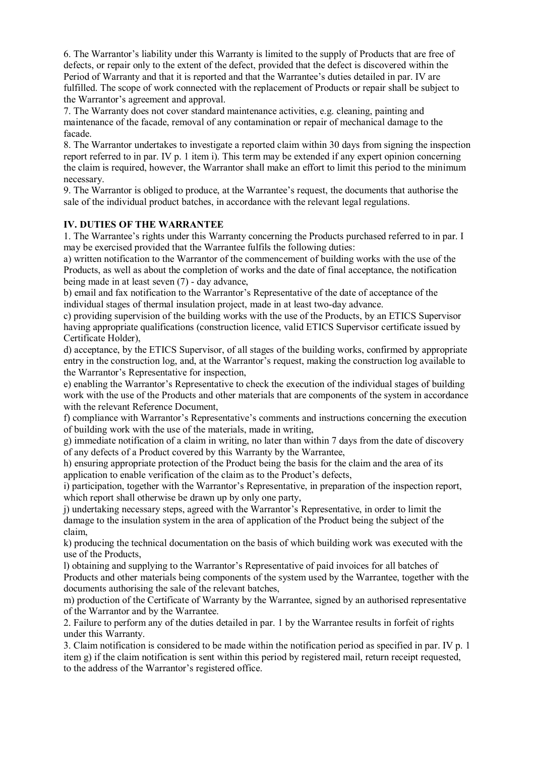6. The Warrantor's liability under this Warranty is limited to the supply of Products that are free of defects, or repair only to the extent of the defect, provided that the defect is discovered within the Period of Warranty and that it is reported and that the Warrantee's duties detailed in par. IV are fulfilled. The scope of work connected with the replacement of Products or repair shall be subject to the Warrantor's agreement and approval.

7. The Warranty does not cover standard maintenance activities, e.g. cleaning, painting and maintenance of the facade, removal of any contamination or repair of mechanical damage to the facade.

8. The Warrantor undertakes to investigate a reported claim within 30 days from signing the inspection report referred to in par. IV p. 1 item i). This term may be extended if any expert opinion concerning the claim is required, however, the Warrantor shall make an effort to limit this period to the minimum necessary.

9. The Warrantor is obliged to produce, at the Warrantee's request, the documents that authorise the sale of the individual product batches, in accordance with the relevant legal regulations.

#### **IV. DUTIES OF THE WARRANTEE**

1. The Warrantee's rights under this Warranty concerning the Products purchased referred to in par. I may be exercised provided that the Warrantee fulfils the following duties:

a) written notification to the Warrantor of the commencement of building works with the use of the Products, as well as about the completion of works and the date of final acceptance, the notification being made in at least seven (7) - day advance,

b) email and fax notification to the Warrantor's Representative of the date of acceptance of the individual stages of thermal insulation project, made in at least two-day advance.

c) providing supervision of the building works with the use of the Products, by an ETICS Supervisor having appropriate qualifications (construction licence, valid ETICS Supervisor certificate issued by Certificate Holder),

d) acceptance, by the ETICS Supervisor, of all stages of the building works, confirmed by appropriate entry in the construction log, and, at the Warrantor's request, making the construction log available to the Warrantor's Representative for inspection,

e) enabling the Warrantor's Representative to check the execution of the individual stages of building work with the use of the Products and other materials that are components of the system in accordance with the relevant Reference Document,

f) compliance with Warrantor's Representative's comments and instructions concerning the execution of building work with the use of the materials, made in writing,

g) immediate notification of a claim in writing, no later than within 7 days from the date of discovery of any defects of a Product covered by this Warranty by the Warrantee,

h) ensuring appropriate protection of the Product being the basis for the claim and the area of its application to enable verification of the claim as to the Product's defects,

i) participation, together with the Warrantor's Representative, in preparation of the inspection report, which report shall otherwise be drawn up by only one party,

j) undertaking necessary steps, agreed with the Warrantor's Representative, in order to limit the damage to the insulation system in the area of application of the Product being the subject of the claim,

k) producing the technical documentation on the basis of which building work was executed with the use of the Products,

l) obtaining and supplying to the Warrantor's Representative of paid invoices for all batches of Products and other materials being components of the system used by the Warrantee, together with the documents authorising the sale of the relevant batches,

m) production of the Certificate of Warranty by the Warrantee, signed by an authorised representative of the Warrantor and by the Warrantee.

2. Failure to perform any of the duties detailed in par. 1 by the Warrantee results in forfeit of rights under this Warranty.

3. Claim notification is considered to be made within the notification period as specified in par. IV p. 1 item g) if the claim notification is sent within this period by registered mail, return receipt requested, to the address of the Warrantor's registered office.